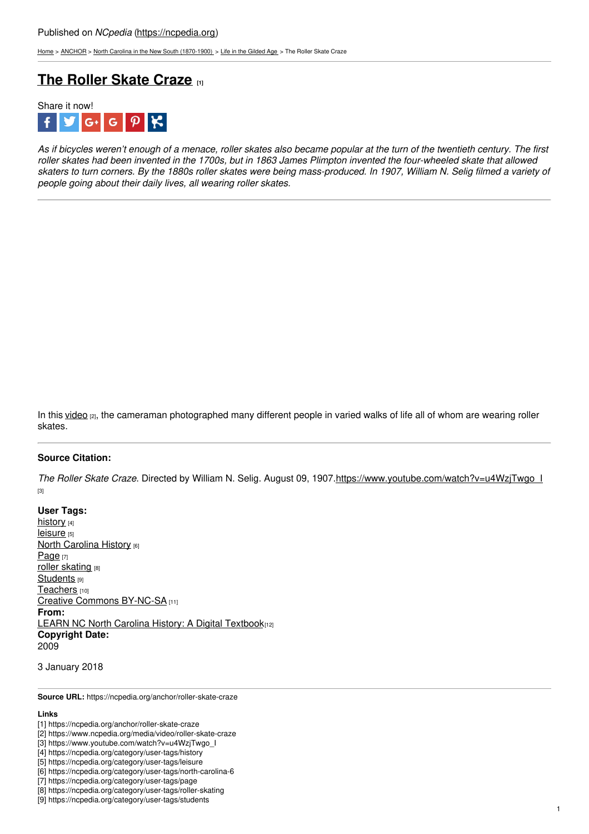[Home](https://ncpedia.org/) > [ANCHOR](https://ncpedia.org/anchor/anchor) > North Carolina in the New South [\(1870-1900\)](https://ncpedia.org/anchor/north-carolina-new-south) > Life in the [Gilded](https://ncpedia.org/anchor/life-gilded-age) Age > The Roller Skate Craze

## **The [Roller](https://ncpedia.org/anchor/roller-skate-craze) Skate Craze [1]**



As if bicycles weren't enough of a menace, roller skates also became popular at the turn of the twentieth century. The first roller skates had been invented in the 1700s, but in 1863 James Plimpton invented the four-wheeled skate that allowed skaters to turn corners. By the 1880s roller skates were being mass-produced. In 1907, William N. Selig filmed a variety of *people going about their daily lives, all wearing roller skates.*

In this [video](https://www.ncpedia.org/media/video/roller-skate-craze)  $\alpha$ , the cameraman photographed many different people in varied walks of life all of whom are wearing roller skates.

## **Source Citation:**

*The Roller Skate Craze*. Directed by William N. Selig. August 09, 1907[.https://www.youtube.com/watch?v=u4WzjTwgo\\_I](https://www.youtube.com/watch?v=u4WzjTwgo_I) [3]

**User Tags:** [history](https://ncpedia.org/category/user-tags/history) [4] [leisure](https://ncpedia.org/category/user-tags/leisure) [5] **North [Carolina](https://ncpedia.org/category/user-tags/north-carolina-6) History [6]** [Page](https://ncpedia.org/category/user-tags/page) [7] roller [skating](https://ncpedia.org/category/user-tags/roller-skating) [8] [Students](https://ncpedia.org/category/user-tags/students) [9] [Teachers](https://ncpedia.org/category/user-tags/teachers) [10] Creative Commons [BY-NC-SA](https://ncpedia.org/category/user-tags/creative-commons) [11] **From:** LEARN NC North Carolina History: A Digital [Textbook](https://ncpedia.org/category/entry-source/learn-nc)[12] **Copyright Date:** 2009

3 January 2018

**Source URL:** https://ncpedia.org/anchor/roller-skate-craze

## **Links**

1

<sup>[1]</sup> https://ncpedia.org/anchor/roller-skate-craze

<sup>[2]</sup> https://www.ncpedia.org/media/video/roller-skate-craze

<sup>[3]</sup> https://www.youtube.com/watch?v=u4WzjTwgo\_I

<sup>[4]</sup> https://ncpedia.org/category/user-tags/history

<sup>[5]</sup> https://ncpedia.org/category/user-tags/leisure

<sup>[6]</sup> https://ncpedia.org/category/user-tags/north-carolina-6

<sup>[7]</sup> https://ncpedia.org/category/user-tags/page

<sup>[8]</sup> https://ncpedia.org/category/user-tags/roller-skating [9] https://ncpedia.org/category/user-tags/students